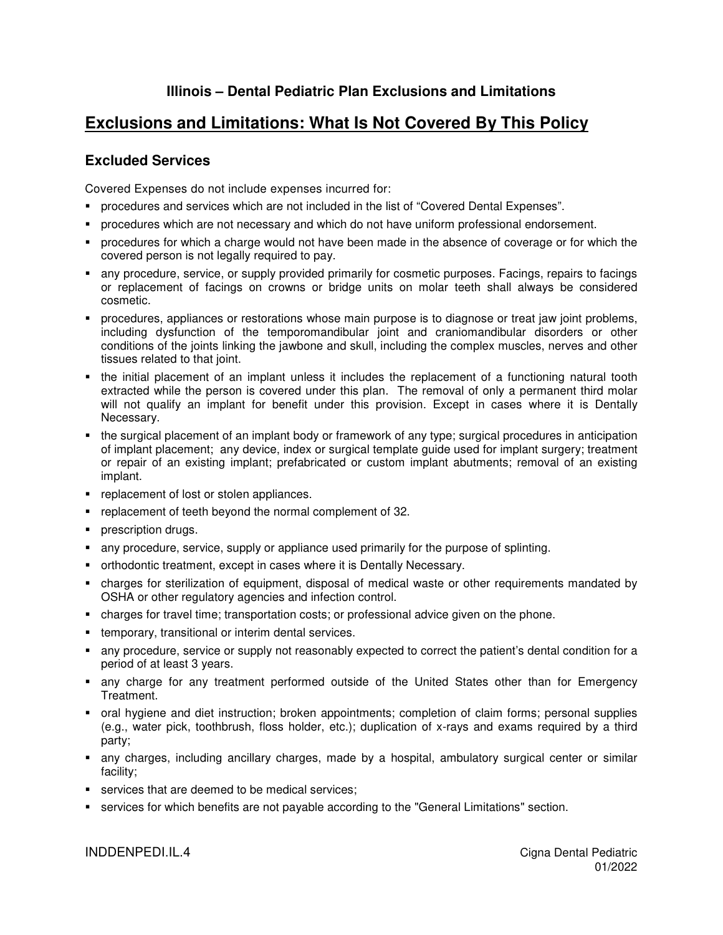## **Exclusions and Limitations: What Is Not Covered By This Policy**

## **Excluded Services**

Covered Expenses do not include expenses incurred for:

- procedures and services which are not included in the list of "Covered Dental Expenses".
- procedures which are not necessary and which do not have uniform professional endorsement.
- procedures for which a charge would not have been made in the absence of coverage or for which the covered person is not legally required to pay.
- any procedure, service, or supply provided primarily for cosmetic purposes. Facings, repairs to facings or replacement of facings on crowns or bridge units on molar teeth shall always be considered cosmetic.
- procedures, appliances or restorations whose main purpose is to diagnose or treat jaw joint problems, including dysfunction of the temporomandibular joint and craniomandibular disorders or other conditions of the joints linking the jawbone and skull, including the complex muscles, nerves and other tissues related to that joint.
- the initial placement of an implant unless it includes the replacement of a functioning natural tooth extracted while the person is covered under this plan. The removal of only a permanent third molar will not qualify an implant for benefit under this provision. Except in cases where it is Dentally Necessary.
- the surgical placement of an implant body or framework of any type; surgical procedures in anticipation of implant placement; any device, index or surgical template guide used for implant surgery; treatment or repair of an existing implant; prefabricated or custom implant abutments; removal of an existing implant.
- **•** replacement of lost or stolen appliances.
- **•** replacement of teeth beyond the normal complement of 32.
- **prescription drugs.**
- any procedure, service, supply or appliance used primarily for the purpose of splinting.
- orthodontic treatment, except in cases where it is Dentally Necessary.
- charges for sterilization of equipment, disposal of medical waste or other requirements mandated by OSHA or other regulatory agencies and infection control.
- charges for travel time; transportation costs; or professional advice given on the phone.
- **temporary, transitional or interim dental services.**
- any procedure, service or supply not reasonably expected to correct the patient's dental condition for a period of at least 3 years.
- any charge for any treatment performed outside of the United States other than for Emergency Treatment.
- oral hygiene and diet instruction; broken appointments; completion of claim forms; personal supplies (e.g., water pick, toothbrush, floss holder, etc.); duplication of x-rays and exams required by a third party;
- any charges, including ancillary charges, made by a hospital, ambulatory surgical center or similar facility;
- **services that are deemed to be medical services;**
- services for which benefits are not payable according to the "General Limitations" section.

INDDENPEDI.IL.4 Cigna Dental Pediatric